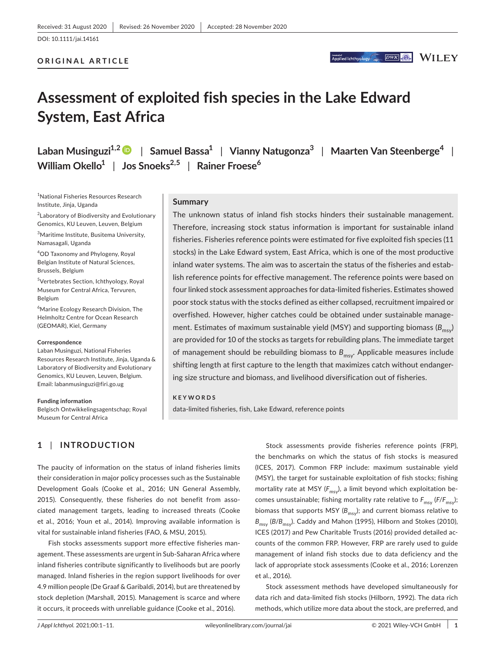#### **ORIGINAL ARTICLE**

**DWK & WILEY** Applied Ichthyology

# **Assessment of exploited fish species in the Lake Edward System, East Africa**

**Laban Musinguzi1,[2](https://orcid.org/0000-0001-7915-3218)** | **Samuel Bassa1** | **Vianny Natugonza<sup>3</sup>** | **Maarten Van Steenberge<sup>4</sup>** | **William Okello1** | **Jos Snoeks2,5** | **Rainer Froese<sup>6</sup>**

1 National Fisheries Resources Research Institute, Jinja, Uganda

2 Laboratory of Biodiversity and Evolutionary Genomics, KU Leuven, Leuven, Belgium

3 Maritime Institute, Busitema University, Namasagali, Uganda

4 OD Taxonomy and Phylogeny, Royal Belgian Institute of Natural Sciences, Brussels, Belgium

5 Vertebrates Section, Ichthyology, Royal Museum for Central Africa, Tervuren, Belgium

6 Marine Ecology Research Division, The Helmholtz Centre for Ocean Research (GEOMAR), Kiel, Germany

#### **Correspondence**

Laban Musinguzi, National Fisheries Resources Research Institute, Jinja, Uganda & Laboratory of Biodiversity and Evolutionary Genomics, KU Leuven, Leuven, Belgium. Email: [labanmusinguzi@firi.go.ug](mailto:labanmusinguzi@firi.go.ug)

#### **Funding information**

Belgisch Ontwikkelingsagentschap; Royal Museum for Central Africa

**1** | **INTRODUCTION**

#### **Summary**

The unknown status of inland fish stocks hinders their sustainable management. Therefore, increasing stock status information is important for sustainable inland fisheries. Fisheries reference points were estimated for five exploited fish species (11 stocks) in the Lake Edward system, East Africa, which is one of the most productive inland water systems. The aim was to ascertain the status of the fisheries and establish reference points for effective management. The reference points were based on four linked stock assessment approaches for data-limited fisheries. Estimates showed poor stock status with the stocks defined as either collapsed, recruitment impaired or overfished. However, higher catches could be obtained under sustainable management. Estimates of maximum sustainable yield (MSY) and supporting biomass (B<sub>msy</sub>) are provided for 10 of the stocks as targets for rebuilding plans. The immediate target of management should be rebuilding biomass to  $B_{\text{msv}}$ . Applicable measures include shifting length at first capture to the length that maximizes catch without endangering size structure and biomass, and livelihood diversification out of fisheries.

#### **KEYWORDS**

data-limited fisheries, fish, Lake Edward, reference points

The paucity of information on the status of inland fisheries limits their consideration in major policy processes such as the Sustainable Development Goals (Cooke et al., 2016; UN General Assembly, 2015). Consequently, these fisheries do not benefit from associated management targets, leading to increased threats (Cooke et al., 2016; Youn et al., 2014). Improving available information is vital for sustainable inland fisheries (FAO, & MSU, 2015).

Fish stocks assessments support more effective fisheries management. These assessments are urgent in Sub-Saharan Africa where inland fisheries contribute significantly to livelihoods but are poorly managed. Inland fisheries in the region support livelihoods for over 4.9 million people (De Graaf & Garibaldi, 2014), but are threatened by stock depletion (Marshall, 2015). Management is scarce and where it occurs, it proceeds with unreliable guidance (Cooke et al., 2016).

Stock assessments provide fisheries reference points (FRP), the benchmarks on which the status of fish stocks is measured (ICES, 2017). Common FRP include: maximum sustainable yield (MSY), the target for sustainable exploitation of fish stocks; fishing mortality rate at MSY (F<sub>msy</sub>), a limit beyond which exploitation becomes unsustainable; fishing mortality rate relative to  $F_{\text{msy}}(F/F_{\text{msy}})$ ; biomass that supports MSY (B<sub>msy</sub>); and current biomass relative to *B*<sub>msy</sub> (*B*/*B*<sub>msy</sub>). Caddy and Mahon (1995), Hilborn and Stokes (2010), ICES (2017) and Pew Charitable Trusts (2016) provided detailed accounts of the common FRP. However, FRP are rarely used to guide management of inland fish stocks due to data deficiency and the lack of appropriate stock assessments (Cooke et al., 2016; Lorenzen et al., 2016).

Stock assessment methods have developed simultaneously for data rich and data-limited fish stocks (Hilborn, 1992). The data rich methods, which utilize more data about the stock, are preferred, and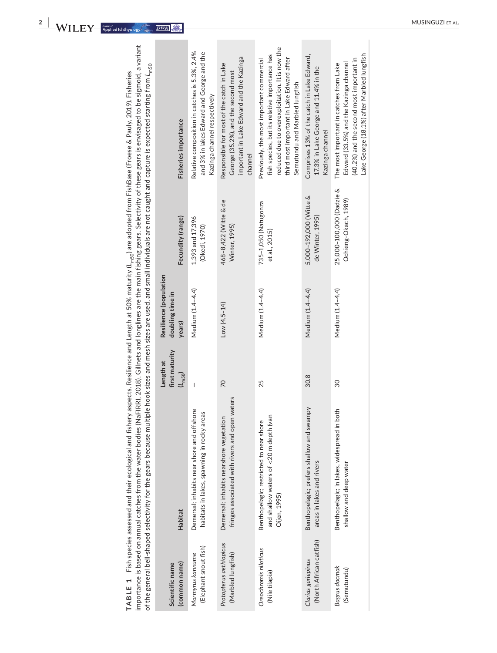importance is based on annual catches from the water bodies (NaFIRRI, 2018). Gillnets and longlines are the main fishing gears. Selectivity of these gears is envisaged to be sigmoid, a variant importance is based on annual catches from the water bodies (NaFIRRI, 2018). Gillnets and longlines are the main fishing gears. Selectivity of these gears is envisaged to be sigmoid, a variant of the general bell-shaped selectivity for the gears because multiple hook sizes and mesh sizes are used, and small individuals are not caught and capture is expected starting from L<sub>m50</sub> of the general bell-shaped selectivity for the gears because multiple hook sizes and mesh sizes are used, and small individuals are not caught and capture is expected starting from *L*m50 TABLE 1 Fish species assessed and their ecological and fishery aspects. Resilience and Length at 50% maturity (L<sub>m50</sub>) are adopted from FishBase (Froese & Pauly, 2019). Fisheries **TABLE 1** Fish species assessed and their ecological and fishery aspects. Resilience and Length at 50% maturity (*L*m50) are adopted from FishBase (Froese & Pauly, 2019). Fisheries

| (common name)<br>Scientific name              | <b>Habitat</b>                                                                                            | first maturity<br>Length at<br>$(L_{m50})$ | Resilience (population<br>doubling time in<br>years) | Fecundity (range)                                | Fisheries importance                                                                                                                                                                                                        |
|-----------------------------------------------|-----------------------------------------------------------------------------------------------------------|--------------------------------------------|------------------------------------------------------|--------------------------------------------------|-----------------------------------------------------------------------------------------------------------------------------------------------------------------------------------------------------------------------------|
| (Elephant snout fish)<br>Mormyrus kannume     | Demersal; inhabits near shore and offshore<br>$\overline{0}$<br>habitats in lakes, spawning in rocky area | I                                          | Medium (1.4-4.4)                                     | 1,393 and 17,396<br>(Okedi, 1970)                | Relative composition in catches is 5.3%, 2.4%<br>and 3% in lakes Edward and George and the<br>Kazinga channel respectively                                                                                                  |
| Protopterus aethiopicus<br>(Marbled lungfish) | fringes associated with rivers and open waters<br>Demersal; inhabits nearshore vegetation                 | $\overline{2}$                             | $Low (4.5-14)$                                       | 468-8,422 (Witte & de<br>Winter, 1995)           | important in Lake Edward and the Kazinga<br>Responsible for most of the catch in Lake<br>George (35.2%), and the second most<br>channel                                                                                     |
| Oreochromis niloticus<br>(Nile tilapia)       | and shallow waters of $<$ 20 m depth (van<br>Benthopelagic; restricted to near shore<br>Oijen, 1995)      | 25                                         | Medium (1.4-4.4)                                     | 735-1,050 (Natugonza<br>et al., 2015)            | reduced due to overexploitation. It is now the<br>fish species, but its relative importance has<br>third most important in Lake Edward after<br>Previously, the most important commercial<br>Semutundu and Marbled lungfish |
| (North African catfish)<br>Clarias gariepinus | Benthopelagic; prefers shallow and swampy<br>areas in lakes and rivers                                    | 30.8                                       | Medium (1.4-4.4)                                     | 5,000-192,000 (Witte &<br>de Winter, 1995)       | Comprises 13% of the catch in Lake Edward,<br>17.3% in Lake George and 11.4% in the<br>Kazinga channel                                                                                                                      |
| Bagrus docmak<br>(Semutundu)                  | Benthopelagic; in lakes, widespread in both<br>shallow and deep water                                     | 30                                         | Medium (1.4-4.4)                                     | 25,000-100,000 (Dadzie &<br>Ochieng-Okach, 1989) | Lake George (18.1%) after Marbled lungfish<br>(40.2%) and the second most important in<br>Edward (33.5%) and the Kazinga channel<br>The most important in catches from Lake                                                 |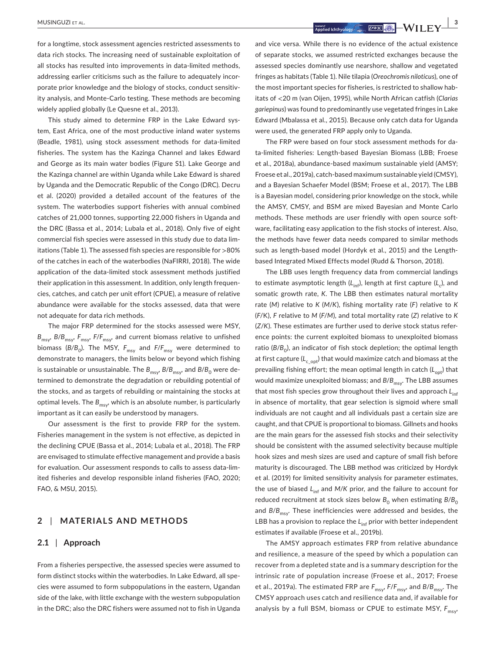**|** MUSINGUZI et al. **3**

for a longtime, stock assessment agencies restricted assessments to data rich stocks. The increasing need of sustainable exploitation of all stocks has resulted into improvements in data-limited methods, addressing earlier criticisms such as the failure to adequately incorporate prior knowledge and the biology of stocks, conduct sensitivity analysis, and Monte-Carlo testing. These methods are becoming widely applied globally (Le Quesne et al., 2013).

This study aimed to determine FRP in the Lake Edward system, East Africa, one of the most productive inland water systems (Beadle, 1981), using stock assessment methods for data-limited fisheries. The system has the Kazinga Channel and lakes Edward and George as its main water bodies (Figure S1). Lake George and the Kazinga channel are within Uganda while Lake Edward is shared by Uganda and the Democratic Republic of the Congo (DRC). Decru et al. (2020) provided a detailed account of the features of the system. The waterbodies support fisheries with annual combined catches of 21,000 tonnes, supporting 22,000 fishers in Uganda and the DRC (Bassa et al., 2014; Lubala et al., 2018). Only five of eight commercial fish species were assessed in this study due to data limitations (Table 1). The assessed fish species are responsible for >80% of the catches in each of the waterbodies (NaFIRRI, 2018). The wide application of the data-limited stock assessment methods justified their application in this assessment. In addition, only length frequencies, catches, and catch per unit effort (CPUE), a measure of relative abundance were available for the stocks assessed, data that were not adequate for data rich methods.

The major FRP determined for the stocks assessed were MSY, *B*<sub>msy</sub>, *B*/*B*<sub>msy</sub>, *F*<sub>msy</sub>, *F*/*F*<sub>msy</sub>, and current biomass relative to unfished biomass  $(B/B_0)$ . The MSY,  $F_{\text{msy}}$  and  $F/F_{\text{msy}}$  were determined to demonstrate to managers, the limits below or beyond which fishing is sustainable or unsustainable. The  $B_{\text{msy}}$ ,  $B/B_{\text{msy}}$ , and  $B/B_{0}$  were determined to demonstrate the degradation or rebuilding potential of the stocks, and as targets of rebuilding or maintaining the stocks at optimal levels. The  $B_{\text{msv}}$ , which is an absolute number, is particularly important as it can easily be understood by managers.

Our assessment is the first to provide FRP for the system. Fisheries management in the system is not effective, as depicted in the declining CPUE (Bassa et al., 2014; Lubala et al., 2018). The FRP are envisaged to stimulate effective management and provide a basis for evaluation. Our assessment responds to calls to assess data-limited fisheries and develop responsible inland fisheries (FAO, 2020; FAO, & MSU, 2015).

## **2** | **MATERIALS AND METHODS**

#### **2.1** | **Approach**

From a fisheries perspective, the assessed species were assumed to form distinct stocks within the waterbodies. In Lake Edward, all species were assumed to form subpopulations in the eastern, Ugandan side of the lake, with little exchange with the western subpopulation in the DRC; also the DRC fishers were assumed not to fish in Uganda and vice versa. While there is no evidence of the actual existence of separate stocks, we assumed restricted exchanges because the assessed species dominantly use nearshore, shallow and vegetated fringes as habitats (Table 1). Nile tilapia (*Oreochromis niloticus*), one of the most important species for fisheries, is restricted to shallow habitats of <20 m (van Oijen, 1995), while North African catfish (*Clarias gariepinus*) was found to predominantly use vegetated fringes in Lake Edward (Mbalassa et al., 2015). Because only catch data for Uganda were used, the generated FRP apply only to Uganda.

The FRP were based on four stock assessment methods for data-limited fisheries: Length-based Bayesian Biomass (LBB; Froese et al., 2018a), abundance-based maximum sustainable yield (AMSY; Froese et al., 2019a), catch-based maximum sustainable yield (CMSY), and a Bayesian Schaefer Model (BSM; Froese et al., 2017). The LBB is a Bayesian model, considering prior knowledge on the stock, while the AMSY, CMSY, and BSM are mixed Bayesian and Monte Carlo methods. These methods are user friendly with open source software, facilitating easy application to the fish stocks of interest. Also, the methods have fewer data needs compared to similar methods such as length-based model (Hordyk et al., 2015) and the Lengthbased Integrated Mixed Effects model (Rudd & Thorson, 2018).

The LBB uses length frequency data from commercial landings to estimate asymptotic length ( $L_{\text{inf}}$ ), length at first capture ( $L_c$ ), and somatic growth rate, *K*. The LBB then estimates natural mortality rate (*M*) relative to *K* (*M*/*K*), fishing mortality rate (*F*) relative to *K* (*F*/K), *F* relative to *M* (*F*/*M*), and total mortality rate (*Z*) relative to *K* (*Z*/*K*). These estimates are further used to derive stock status reference points: the current exploited biomass to unexploited biomass ratio ( $B/B_0$ ), an indicator of fish stock depletion; the optimal length at first capture (L<sub>copt</sub>) that would maximize catch and biomass at the prevailing fishing effort; the mean optimal length in catch (L<sub>opt</sub>) that would maximize unexploited biomass; and  $B/B_{\text{msy}}$ . The LBB assumes that most fish species grow throughout their lives and approach  $L_{\text{inf}}$ in absence of mortality, that gear selection is sigmoid where small individuals are not caught and all individuals past a certain size are caught, and that CPUE is proportional to biomass. Gillnets and hooks are the main gears for the assessed fish stocks and their selectivity should be consistent with the assumed selectivity because multiple hook sizes and mesh sizes are used and capture of small fish before maturity is discouraged. The LBB method was criticized by Hordyk et al. (2019) for limited sensitivity analysis for parameter estimates, the use of biased  $L_{\text{inf}}$  and *M/K* prior, and the failure to account for reduced recruitment at stock sizes below  $B_0$  when estimating  $B/B_0$ and *B*/*B<sub>msy</sub>*. These inefficiencies were addressed and besides, the LBB has a provision to replace the L<sub>inf</sub> prior with better independent estimates if available (Froese et al., 2019b).

The AMSY approach estimates FRP from relative abundance and resilience, a measure of the speed by which a population can recover from a depleted state and is a summary description for the intrinsic rate of population increase (Froese et al., 2017; Froese et al., 2019a). The estimated FRP are  $F_{\text{msv}}$ ,  $F/F_{\text{msv}}$ , and  $B/B_{\text{msv}}$ . The CMSY approach uses catch and resilience data and, if available for analysis by a full BSM, biomass or CPUE to estimate MSY,  $F_{\text{msv}}$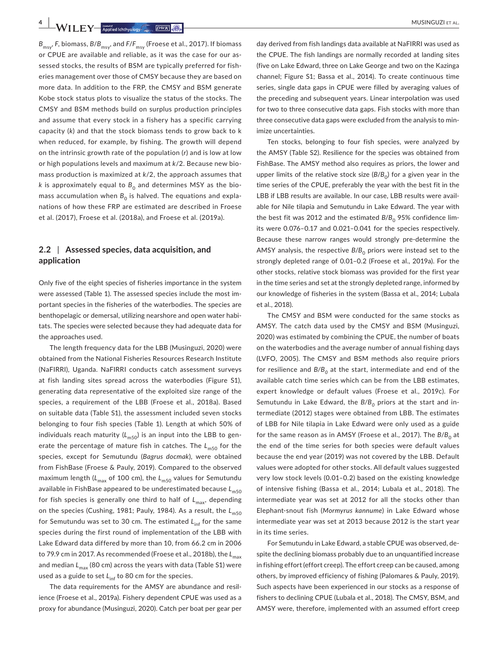**4 A/II EV** *knotostehhydpol<sup>2</sup> <i>DWR Q* 

*B*msy, *F*, biomass, *B*/*B*msy, and *F*/*F*msy (Froese et al., 2017). If biomass or CPUE are available and reliable, as it was the case for our assessed stocks, the results of BSM are typically preferred for fisheries management over those of CMSY because they are based on more data. In addition to the FRP, the CMSY and BSM generate Kobe stock status plots to visualize the status of the stocks. The CMSY and BSM methods build on surplus production principles and assume that every stock in a fishery has a specific carrying capacity (*k*) and that the stock biomass tends to grow back to k when reduced, for example, by fishing. The growth will depend on the intrinsic growth rate of the population (*r*) and is low at low or high populations levels and maximum at *k*/2. Because new biomass production is maximized at *k*/2, the approach assumes that *k* is approximately equal to  $B_0$  and determines MSY as the biomass accumulation when  $B_0$  is halved. The equations and explanations of how these FRP are estimated are described in Froese et al. (2017), Froese et al. (2018a), and Froese et al. (2019a).

# **2.2** | **Assessed species, data acquisition, and application**

Only five of the eight species of fisheries importance in the system were assessed (Table 1). The assessed species include the most important species in the fisheries of the waterbodies. The species are benthopelagic or demersal, utilizing nearshore and open water habitats. The species were selected because they had adequate data for the approaches used.

The length frequency data for the LBB (Musinguzi, 2020) were obtained from the National Fisheries Resources Research Institute (NaFIRRI), Uganda. NaFIRRI conducts catch assessment surveys at fish landing sites spread across the waterbodies (Figure S1), generating data representative of the exploited size range of the species, a requirement of the LBB (Froese et al., 2018a). Based on suitable data (Table S1), the assessment included seven stocks belonging to four fish species (Table 1). Length at which 50% of individuals reach maturity  $(L_{m50})$  is an input into the LBB to generate the percentage of mature fish in catches. The L<sub>m50</sub> for the species, except for Semutundu (*Bagrus docmak*), were obtained from FishBase (Froese & Pauly, 2019). Compared to the observed maximum length ( $L_{\text{max}}$  of 100 cm), the  $L_{\text{m50}}$  values for Semutundu available in FishBase appeared to be underestimated because  $L_{m50}$ for fish species is generally one third to half of  $L_{\text{max}}$ , depending on the species (Cushing, 1981; Pauly, 1984). As a result, the L<sub>m50</sub> for Semutundu was set to 30 cm. The estimated L<sub>inf</sub> for the same species during the first round of implementation of the LBB with Lake Edward data differed by more than 10, from 66.2 cm in 2006 to 79.9 cm in 2017. As recommended (Froese et al., 2018b), the L<sub>max</sub> and median  $L_{\text{max}}$  (80 cm) across the years with data (Table S1) were used as a guide to set L<sub>inf</sub> to 80 cm for the species.

The data requirements for the AMSY are abundance and resilience (Froese et al., 2019a). Fishery dependent CPUE was used as a proxy for abundance (Musinguzi, 2020). Catch per boat per gear per

day derived from fish landings data available at NaFIRRI was used as the CPUE. The fish landings are normally recorded at landing sites (five on Lake Edward, three on Lake George and two on the Kazinga channel; Figure S1; Bassa et al., 2014). To create continuous time series, single data gaps in CPUE were filled by averaging values of the preceding and subsequent years. Linear interpolation was used for two to three consecutive data gaps. Fish stocks with more than three consecutive data gaps were excluded from the analysis to minimize uncertainties.

Ten stocks, belonging to four fish species, were analyzed by the AMSY (Table S2). Resilience for the species was obtained from FishBase. The AMSY method also requires as priors, the lower and upper limits of the relative stock size  $(B/B_0)$  for a given year in the time series of the CPUE, preferably the year with the best fit in the LBB if LBB results are available. In our case, LBB results were available for Nile tilapia and Semutundu in Lake Edward. The year with the best fit was 2012 and the estimated  $B/B_0$  95% confidence limits were 0.076–0.17 and 0.021–0.041 for the species respectively. Because these narrow ranges would strongly pre-determine the AMSY analysis, the respective  $B/B_0$  priors were instead set to the strongly depleted range of 0.01–0.2 (Froese et al., 2019a). For the other stocks, relative stock biomass was provided for the first year in the time series and set at the strongly depleted range, informed by our knowledge of fisheries in the system (Bassa et al., 2014; Lubala et al., 2018).

The CMSY and BSM were conducted for the same stocks as AMSY. The catch data used by the CMSY and BSM (Musinguzi, 2020) was estimated by combining the CPUE, the number of boats on the waterbodies and the average number of annual fishing days (LVFO, 2005). The CMSY and BSM methods also require priors for resilience and  $B/B<sub>o</sub>$  at the start, intermediate and end of the available catch time series which can be from the LBB estimates, expert knowledge or default values (Froese et al., 2019c). For Semutundu in Lake Edward, the B/B<sub>0</sub> priors at the start and intermediate (2012) stages were obtained from LBB. The estimates of LBB for Nile tilapia in Lake Edward were only used as a guide for the same reason as in AMSY (Froese et al., 2017). The *B*/*B*<sub>0</sub> at the end of the time series for both species were default values because the end year (2019) was not covered by the LBB. Default values were adopted for other stocks. All default values suggested very low stock levels (0.01–0.2) based on the existing knowledge of intensive fishing (Bassa et al., 2014; Lubala et al., 2018). The intermediate year was set at 2012 for all the stocks other than Elephant-snout fish (*Mormyrus kannume*) in Lake Edward whose intermediate year was set at 2013 because 2012 is the start year in its time series.

For Semutundu in Lake Edward, a stable CPUE was observed, despite the declining biomass probably due to an unquantified increase in fishing effort (effort creep). The effort creep can be caused, among others, by improved efficiency of fishing (Palomares & Pauly, 2019). Such aspects have been experienced in our stocks as a response of fishers to declining CPUE (Lubala et al., 2018). The CMSY, BSM, and AMSY were, therefore, implemented with an assumed effort creep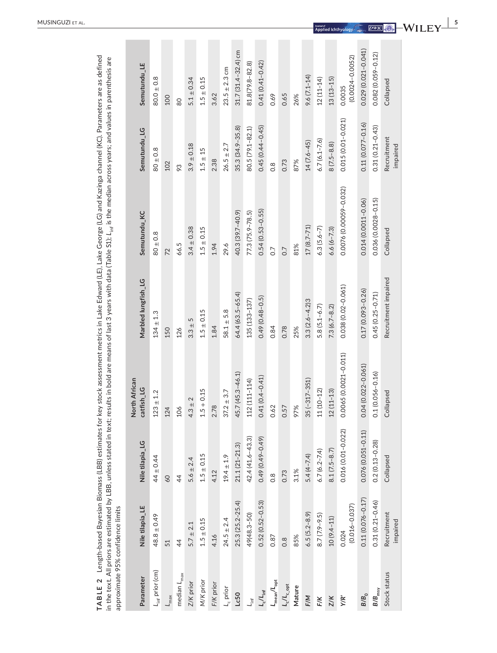| approximate 95% confidence limits                    |                            |                       |                             |                      | TABLE 2 Length-based Bayesian Biomass (LBB) estimates for key stock assessment metrics in Lake Edward (LE), Lake George (LG) and Kazinga channel (KC). Parameters are as defined<br>in the text. All priors are estimated by LBB, unless stated in text; results in bold are means of last 3 years with data (Table S1); L <sub>inf</sub> is the median across years; and values in parenthesis are |                         |                               |
|------------------------------------------------------|----------------------------|-----------------------|-----------------------------|----------------------|-----------------------------------------------------------------------------------------------------------------------------------------------------------------------------------------------------------------------------------------------------------------------------------------------------------------------------------------------------------------------------------------------------|-------------------------|-------------------------------|
| Parameter                                            | Nile tilapia_LE            | Nile tilapia_LG       | North African<br>catfish_LG | Marbled lungfish_LG  | Semutundu_KC                                                                                                                                                                                                                                                                                                                                                                                        | Semutundu_LG            | Semutundu_LE                  |
| $L_{\text{inf}}$ prior (cm)                          | $48.8 \pm 0.49$            | $44 \pm 0.44$         | $123\pm1.2$                 | $134 \pm 1.3$        | $80 + 0.8$                                                                                                                                                                                                                                                                                                                                                                                          | $80 \pm 0.8$            | $80.0 \pm 0.8$                |
| $L_{\text{max}}$                                     | 51                         | 60                    | 24                          | 150                  | 72                                                                                                                                                                                                                                                                                                                                                                                                  | 102                     | 100                           |
| median $L_{\rm max}$                                 | $\overline{4}$             | $\overline{4}$        | $\delta$                    | 126                  | 66.5                                                                                                                                                                                                                                                                                                                                                                                                | 93                      | 80                            |
| Z/K prior                                            | $5.7 \pm 2.1$              | $5.6 \pm 2.4$         | $4.3 \pm 2$                 | $3.3 + 5$            | $3.4 \pm 0.38$                                                                                                                                                                                                                                                                                                                                                                                      | $3.9 \pm 0.18$          | $5.1 \pm 0.34$                |
| M/K prior                                            | $1.5 \pm 0.15$             | $1.5 \pm 0.15$        | $.5 + 0.15$                 | $1.5 \pm 0.15$       | $1.5 \pm 0.15$                                                                                                                                                                                                                                                                                                                                                                                      | $1.5 \pm 15$            | $1.5 \pm 0.15$                |
| F/K prior                                            | 4.16                       | 4.12                  | 2.78                        | 1.84                 | 1.94                                                                                                                                                                                                                                                                                                                                                                                                | 2.38                    | 3.62                          |
| $L_c$ prior                                          | $24.5 \pm 2.4$             | $19.4 \pm 1.9$        | $37.2 \pm 3.7$              | $58.1 \pm 5.8$       | 29.6                                                                                                                                                                                                                                                                                                                                                                                                | $26.5 \pm 2.7$          | $23.5 \pm 2.3$ cm             |
| Lc50                                                 | $25.3(25.2 - 25.4)$        | $21.1(21 - 21.3)$     | 45.7 (45.3-46.1)            | 64.4 (63.5-65.4)     | 40.3 (39.7-40.9)                                                                                                                                                                                                                                                                                                                                                                                    | $35.3(34.9 - 35.8)$     | 31.7 (31.4-32.4) cm           |
| $L_{int}$                                            | 49(48.3-50)                | $42.4(41.6 - 43.3)$   | 12 (111-114)                | 135 (133-137)        | $77.3(75.9 - 78.5)$                                                                                                                                                                                                                                                                                                                                                                                 | $80.5(79.1 - 82.1)$     | 81.8(79.8-82.8)               |
| $L_c/L_{\rm inf}$                                    | $0.52(0.52 - 0.53)$        | $0.49(0.49 - 0.49)$   | $0.41(0.4 - 0.41)$          | $0.49(0.48 - 0.5)$   | $0.54(0.53 - 0.55)$                                                                                                                                                                                                                                                                                                                                                                                 | $0.45(0.44 - 0.45)$     | $0.41(0.41 - 0.42)$           |
| $L_{\text{mean}}/L_{\text{opt}}$                     | 0.87                       | $\frac{8}{10}$        | 0.62                        | 0.84                 | $\overline{0}$                                                                                                                                                                                                                                                                                                                                                                                      | $\frac{8}{2}$           | 0.69                          |
| ${\mathsf L}_\mathrm{c}/{\mathsf L}_\mathrm{c\_opt}$ | $0.\overline{8}$           | 0.73                  | 0.57                        | 0.78                 | 0.7                                                                                                                                                                                                                                                                                                                                                                                                 | 0.73                    | 0.65                          |
| Mature                                               | 85%                        | 3.1%                  | 97%                         | 25%                  | 81%                                                                                                                                                                                                                                                                                                                                                                                                 | 87%                     | 26%                           |
| F/M                                                  | $6.5(5.2 - 8.9)$           | $5.4(4 - 7.4)$        | $35(-317-351)$              | $3.3(2.6 - 4.2)3$    | $17(8.7 - 71)$                                                                                                                                                                                                                                                                                                                                                                                      | $14(7.6 - 45)$          | $9.6(7.1 - 14)$               |
| F/K                                                  | $8.7(7.9-9.5)$             | $6.7(6.2 - 7.4)$      | $1(10-12)$                  | $5.8(5.1 - 6.7)$     | $6.3(5.6-7)$                                                                                                                                                                                                                                                                                                                                                                                        | $6.7(6.1 - 7.6)$        | $12(11-14)$                   |
| Z/K                                                  | 10 (9.4-11)                | $8.1(7.5-8.7)$        | $2(11 - 13)$                | $7.3(6.7 - 8.2)$     | $6.6(6 - 7.3)$                                                                                                                                                                                                                                                                                                                                                                                      | $8(7.5 - 8.8)$          | $13(13 - 15)$                 |
| ΥR'                                                  | $(0.016 - 0.037)$<br>0.024 | 0.016 (0.01-0.022)    | 0.0065 (0.0021-0.011)       | 0.038 (0.02-0.061)   | 0.0076 (0.00059-0.032)                                                                                                                                                                                                                                                                                                                                                                              | $0.015(0.01 - 0.021)$   | $(0.0024 - 0.0052)$<br>0.0035 |
| B/B <sub>0</sub>                                     | $0.11(0.076 - 0.17)$       | $0.076(0.051 - 0.11)$ | $0.04(0.022 - 0.061)$       | $0.17(0.093 - 0.26)$ | 0.014 (0.0011-0.06)                                                                                                                                                                                                                                                                                                                                                                                 | $0.11(0.077 - 0.16)$    | 0.029 (0.021-0.041)           |
| $B/B_{\rm msy}$                                      | $0.31(0.21 - 0.46)$        | $0.2(0.13 - 0.28)$    | $0.1(0.056 - 0.16)$         | $0.45(0.25 - 0.71)$  | 0.036 (0.0028-0.15)                                                                                                                                                                                                                                                                                                                                                                                 | $0.31(0.21 - 0.43)$     | 0.082 (0.059-0.12)            |
| Stock status                                         | Recruitment<br>impaired    | Collapsed             | Collapsed                   | Recruitment impaired | Collapsed                                                                                                                                                                                                                                                                                                                                                                                           | Recruitment<br>impaired | Collapsed                     |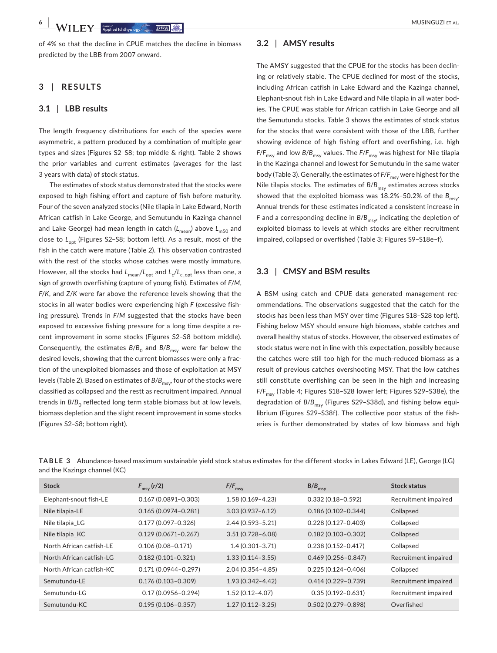of 4% so that the decline in CPUE matches the decline in biomass predicted by the LBB from 2007 onward.

# **3** | **RESULTS**

#### **3.1** | **LBB results**

The length frequency distributions for each of the species were asymmetric, a pattern produced by a combination of multiple gear types and sizes (Figures S2–S8; top middle & right). Table 2 shows the prior variables and current estimates (averages for the last 3 years with data) of stock status.

The estimates of stock status demonstrated that the stocks were exposed to high fishing effort and capture of fish before maturity. Four of the seven analyzed stocks (Nile tilapia in Lake Edward, North African catfish in Lake George, and Semutundu in Kazinga channel and Lake George) had mean length in catch (L<sub>mean</sub>) above L<sub>m50</sub> and close to L<sub>opt</sub> (Figures S2-S8; bottom left). As a result, most of the fish in the catch were mature (Table 2). This observation contrasted with the rest of the stocks whose catches were mostly immature. However, all the stocks had  $L_{\text{mean}}/L_{\text{oot}}$  and  $L_c/L_{\text{cont}}$  less than one, a sign of growth overfishing (capture of young fish). Estimates of *F*/*M*, *F*/*K*, and *Z*/*K* were far above the reference levels showing that the stocks in all water bodies were experiencing high *F* (excessive fishing pressure). Trends in *F*/*M* suggested that the stocks have been exposed to excessive fishing pressure for a long time despite a recent improvement in some stocks (Figures S2–S8 bottom middle). Consequently, the estimates  $B/B_0$  and  $B/B_{\text{msv}}$  were far below the desired levels, showing that the current biomasses were only a fraction of the unexploited biomasses and those of exploitation at MSY levels (Table 2). Based on estimates of  $B/B_{\text{msv}}$ , four of the stocks were classified as collapsed and the restt as recruitment impaired. Annual trends in  $B/B_0$  reflected long term stable biomass but at low levels, biomass depletion and the slight recent improvement in some stocks (Figures S2–S8; bottom right).

#### **3.2** | **AMSY results**

The AMSY suggested that the CPUE for the stocks has been declining or relatively stable. The CPUE declined for most of the stocks, including African catfish in Lake Edward and the Kazinga channel, Elephant-snout fish in Lake Edward and Nile tilapia in all water bodies. The CPUE was stable for African catfish in Lake George and all the Semutundu stocks. Table 3 shows the estimates of stock status for the stocks that were consistent with those of the LBB, further showing evidence of high fishing effort and overfishing, i.e. high *F*/*F*<sub>msv</sub> and low *B*/*B*<sub>msv</sub> values. The *F*/*F*<sub>msv</sub> was highest for Nile tilapia in the Kazinga channel and lowest for Semutundu in the same water body (Table 3). Generally, the estimates of  $F/F_{\text{msv}}$  were highest for the Nile tilapia stocks. The estimates of  $B/B<sub>mov</sub>$  estimates across stocks showed that the exploited biomass was  $18.2\%$  -50.2% of the  $B_{\text{msv}}$ . Annual trends for these estimates indicated a consistent increase in *F* and a corresponding decline in  $B/B_{\text{msv}}$ , indicating the depletion of exploited biomass to levels at which stocks are either recruitment impaired, collapsed or overfished (Table 3; Figures S9–S18e–f).

### **3.3** | **CMSY and BSM results**

A BSM using catch and CPUE data generated management recommendations. The observations suggested that the catch for the stocks has been less than MSY over time (Figures S18–S28 top left). Fishing below MSY should ensure high biomass, stable catches and overall healthy status of stocks. However, the observed estimates of stock status were not in line with this expectation, possibly because the catches were still too high for the much-reduced biomass as a result of previous catches overshooting MSY. That the low catches still constitute overfishing can be seen in the high and increasing *F*/*F*msy (Table 4; Figures S18–S28 lower left; Figures S29–S38e), the degradation of *B/B<sub>msy</sub>* (Figures S29-S38d), and fishing below equilibrium (Figures S29–S38f). The collective poor status of the fisheries is further demonstrated by states of low biomass and high

| TABLE 3 Abundance-based maximum sustainable yield stock status estimates for the different stocks in Lakes Edward (LE), George (LG) |  |
|-------------------------------------------------------------------------------------------------------------------------------------|--|
| and the Kazinga channel (KC)                                                                                                        |  |

| <b>Stock</b>             | $F_{\text{msy}}(r/2)$   | $F/F_{msy}$          | $B/B_{\text{msy}}$     | <b>Stock status</b>  |
|--------------------------|-------------------------|----------------------|------------------------|----------------------|
| Elephant-snout fish-LE   | $0.167(0.0891 - 0.303)$ | $1.58(0.169 - 4.23)$ | $0.332(0.18 - 0.592)$  | Recruitment impaired |
| Nile tilapia-LE          | $0.165(0.0974 - 0.281)$ | $3.03(0.937 - 6.12)$ | $0.186(0.102 - 0.344)$ | Collapsed            |
| Nile tilapia LG          | $0.177(0.097 - 0.326)$  | $2.44(0.593 - 5.21)$ | $0.228(0.127 - 0.403)$ | Collapsed            |
| Nile tilapia KC          | $0.129(0.0671 - 0.267)$ | $3.51(0.728 - 6.08)$ | $0.182(0.103 - 0.302)$ | Collapsed            |
| North African catfish-LE | $0.106(0.08 - 0.171)$   | $1.4(0.301 - 3.71)$  | $0.238(0.152 - 0.417)$ | Collapsed            |
| North African catfish-LG | $0.182(0.101 - 0.321)$  | $1.33(0.114 - 3.55)$ | $0.469(0.256 - 0.847)$ | Recruitment impaired |
| North African catfish-KC | $0.171(0.0944 - 0.297)$ | $2.04(0.354 - 4.85)$ | $0.225(0.124 - 0.406)$ | Collapsed            |
| Semutundu-LE             | $0.176(0.103 - 0.309)$  | $1.93(0.342 - 4.42)$ | $0.414(0.229 - 0.739)$ | Recruitment impaired |
| Semutundu-LG             | $0.17(0.0956 - 0.294)$  | $1.52(0.12 - 4.07)$  | $0.35(0.192 - 0.631)$  | Recruitment impaired |
| Semutundu-KC             | $0.195(0.106 - 0.357)$  | $1.27(0.112 - 3.25)$ | $0.502(0.279 - 0.898)$ | Overfished           |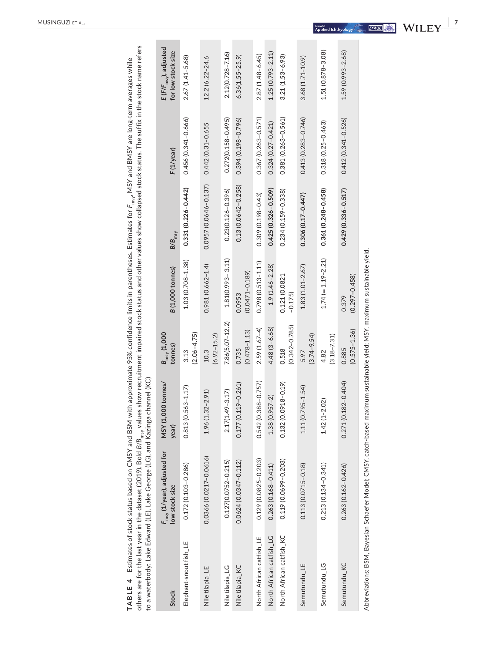| d<br>ś<br>re long-tel<br>SY and BMSY are I<br>in and and the second second the second second the second second second second to the second second second second second second second second second second second second second second second second second second second sec<br>$\frac{5}{2}$<br>Ar L<br>)<br>}<br>}<br>$-2$<br>heses. Estii<br>í ko<br>u castidana | נ<br>נ<br>ma rai<br>j<br>č<br>Fo<br>- etatus. The suffix in the<br>id other values show col<br>ock statis and<br>ׇ֚֚֚֚<br>וודוודים ג<br>.<br>;<br>;<br>;<br>۔<br>ء<br>ues si<br>, hsw a promotion | Ï<br>S                                                       |
|---------------------------------------------------------------------------------------------------------------------------------------------------------------------------------------------------------------------------------------------------------------------------------------------------------------------------------------------------------------------|---------------------------------------------------------------------------------------------------------------------------------------------------------------------------------------------------|--------------------------------------------------------------|
| <b>ABLE 4</b> Estimates of stock status based on CMSY and BSM v                                                                                                                                                                                                                                                                                                     | "hers are for the last year in the dataset (2019). Bold $B/B_{\rm max}$ , $\lambda$                                                                                                               | a waterbody: Lake Edward (LE), Lake George (LG), and Kazinga |

|                          | others are for the last year in the dataset (2019). Bold B/B <sub>msy</sub> values show recruitment impaired stock status and other values show collapsed stock status. The suffix in the stock name refers<br><b>TABLE 4</b> Estimates of stock status based on CMSY and BSM with approximate 95% confidence limits in parentheses. Estimates for $F_{\rm{may}}$ , MSY and BMSY are long-term averages while<br>to a waterbody: Lake Edward (LE), Lake George (LG), and Kazinga channel (KC) |                             |                                 |                              |                          |                        |                                                         |
|--------------------------|-----------------------------------------------------------------------------------------------------------------------------------------------------------------------------------------------------------------------------------------------------------------------------------------------------------------------------------------------------------------------------------------------------------------------------------------------------------------------------------------------|-----------------------------|---------------------------------|------------------------------|--------------------------|------------------------|---------------------------------------------------------|
| Stock                    | $F_{\rm msy}$ (1/year), adjusted for<br>low stock size                                                                                                                                                                                                                                                                                                                                                                                                                                        | MSY (1,000 tonnes/<br>year) | $B_{\rm msy}$ (1,000<br>tonnes) | <b>B</b> (1,000 tonnes)      | $B/B_{msy}$              | F(1/year)              | E (F/F <sub>msy</sub> ), adjusted<br>for low stock size |
| Elephant-snout fish_LE   | $0.172(0.103 - 0.286)$                                                                                                                                                                                                                                                                                                                                                                                                                                                                        | $0.813(0.563 - 1.17)$       | $(2.06 - 4.75)$<br>3.13         | $1.03(0.708 - 1.38)$         | $0.331(0.226 - 0.442)$   | $0.456(0.341 - 0.666)$ | $2.67(1.41 - 5.68)$                                     |
| Nile tilapia_LE          | 0.0366 (0.0217-0.0616)                                                                                                                                                                                                                                                                                                                                                                                                                                                                        | $1.96(1.32 - 2.91)$         | $(6.92 - 15.2)$<br>10.3         | $0.981(0.662 - 1.4)$         | $0.0957(0.0646 - 0.137)$ | 0.442 (0.31-0.655      | 12.2 (6.22-24.6                                         |
| Nile tilapia_LG          | $0.127(0.0752 - 0.215)$                                                                                                                                                                                                                                                                                                                                                                                                                                                                       | $2.17(1.49 - 3.17)$         | $7.86(5.07 - 12.2)$             | $1.81(0.993 - 3.11)$         | $0.23(0.126 - 0.396)$    | $0.272(0.158 - 0.495)$ | $2.12(0.728 - 7.16)$                                    |
| Nile tilapia_KC          | $0.0624(0.0347 - 0.112)$                                                                                                                                                                                                                                                                                                                                                                                                                                                                      | $0.177(0.119 - 0.261)$      | $(0.478 - 1.13)$<br>0.735       | $(0.0471 - 0.189)$<br>0.0953 | 0.13 (0.0642-0.258)      | $0.394(0.198 - 0.796)$ | $6.36(1.55 - 25.9)$                                     |
| North African catfish_LE | 0.129 (0.0825-0.203)                                                                                                                                                                                                                                                                                                                                                                                                                                                                          | $0.542(0.388 - 0.757)$      | $2.59(1.67-4)$                  | $0.798(0.513 - 1.11)$        | 0.309 (0.198-0.43)       | 0.367 (0.263-0.571)    | $2.87(1.48 - 6.45)$                                     |
| North African catfish_LG | 0.263 (0.168-0.411)                                                                                                                                                                                                                                                                                                                                                                                                                                                                           | $1.38(0.957-2)$             | $4.48(3 - 6.68)$                | $1.9(1.46 - 2.28)$           | $0.425(0.326 - 0.509)$   | $0.324(0.27 - 0.421)$  | $1.25(0.793 - 2.11)$                                    |
| North African catfish_KC | 0.119 (0.0699-0.203)                                                                                                                                                                                                                                                                                                                                                                                                                                                                          | $0.132(0.0918 - 0.19)$      | $(0.342 - 0.785)$<br>0.518      | 0.121 (0.0821<br>$-0.175$    | $0.234(0.159 - 0.338)$   | $0.381(0.263 - 0.561)$ | $3.21(1.53 - 6.93)$                                     |
| Semutundu_LE             | $0.113(0.0715 - 0.18)$                                                                                                                                                                                                                                                                                                                                                                                                                                                                        | $1.11(0.795 - 1.54)$        | $(3.74 - 9.54)$<br>5.97         | $1.83(1.01 - 2.67)$          | $0.306(0.17 - 0.447)$    | $0.413(0.283 - 0.746)$ | $3.68(1.71 - 10.9)$                                     |
| Semutundu_LG             | $0.213(0.134 - 0.341)$                                                                                                                                                                                                                                                                                                                                                                                                                                                                        | $1.42(1 - 2.02)$            | $(3.18 - 7.31)$<br>4.82         | $1.74 (= 1.19 - 2.21)$       | 0.361 (0.248-0.458)      | 0.318 (0.25-0.463)     | $1.51(0.878 - 3.08)$                                    |
| Semutundu_KC             | $0.263(0.162 - 0.426)$                                                                                                                                                                                                                                                                                                                                                                                                                                                                        | 82-0.404)<br>0.271(0.1      | $(0.575 - 1.36)$<br>0.885       | $(0.297 - 0.458)$<br>0.379   | $0.429(0.336 - 0.517)$   | $0.412(0.341 - 0.526)$ | $1.59(0.993 - 2.68)$                                    |
|                          | Abbreviations: BSM. Bavesian Schaefer Model: CMSY. catch-based maximum sustainable vield: MSY. maximum sustainable vield                                                                                                                                                                                                                                                                                                                                                                      |                             |                                 |                              |                          |                        |                                                         |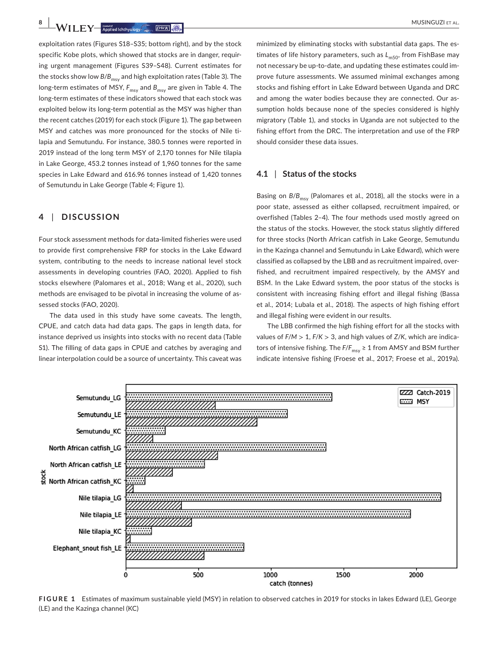exploitation rates (Figures S18–S35; bottom right), and by the stock specific Kobe plots, which showed that stocks are in danger, requiring urgent management (Figures S39–S48). Current estimates for the stocks show low  $B/B_{\text{meV}}$  and high exploitation rates (Table 3). The long-term estimates of MSY,  $F_{\text{msy}}$  and  $B_{\text{msy}}$  are given in Table 4. The long-term estimates of these indicators showed that each stock was exploited below its long-term potential as the MSY was higher than the recent catches (2019) for each stock (Figure 1). The gap between MSY and catches was more pronounced for the stocks of Nile tilapia and Semutundu. For instance, 380.5 tonnes were reported in 2019 instead of the long term MSY of 2,170 tonnes for Nile tilapia in Lake George, 453.2 tonnes instead of 1,960 tonnes for the same species in Lake Edward and 616.96 tonnes instead of 1,420 tonnes of Semutundu in Lake George (Table 4; Figure 1).

## **4** | **DISCUSSION**

Four stock assessment methods for data-limited fisheries were used to provide first comprehensive FRP for stocks in the Lake Edward system, contributing to the needs to increase national level stock assessments in developing countries (FAO, 2020). Applied to fish stocks elsewhere (Palomares et al., 2018; Wang et al., 2020), such methods are envisaged to be pivotal in increasing the volume of assessed stocks (FAO, 2020).

The data used in this study have some caveats. The length, CPUE, and catch data had data gaps. The gaps in length data, for instance deprived us insights into stocks with no recent data (Table S1). The filling of data gaps in CPUE and catches by averaging and linear interpolation could be a source of uncertainty. This caveat was minimized by eliminating stocks with substantial data gaps. The estimates of life history parameters, such as L<sub>m50</sub>, from FishBase may not necessary be up-to-date, and updating these estimates could improve future assessments. We assumed minimal exchanges among stocks and fishing effort in Lake Edward between Uganda and DRC and among the water bodies because they are connected. Our assumption holds because none of the species considered is highly migratory (Table 1), and stocks in Uganda are not subjected to the fishing effort from the DRC. The interpretation and use of the FRP should consider these data issues.

#### **4.1** | **Status of the stocks**

Basing on  $B/B_{\text{msv}}$  (Palomares et al., 2018), all the stocks were in a poor state, assessed as either collapsed, recruitment impaired, or overfished (Tables 2–4). The four methods used mostly agreed on the status of the stocks. However, the stock status slightly differed for three stocks (North African catfish in Lake George, Semutundu in the Kazinga channel and Semutundu in Lake Edward), which were classified as collapsed by the LBB and as recruitment impaired, overfished, and recruitment impaired respectively, by the AMSY and BSM. In the Lake Edward system, the poor status of the stocks is consistent with increasing fishing effort and illegal fishing (Bassa et al., 2014; Lubala et al., 2018). The aspects of high fishing effort and illegal fishing were evident in our results.

The LBB confirmed the high fishing effort for all the stocks with values of *F*/*M* > 1, *F*/*K* > 3, and high values of *Z*/*K*, which are indicators of intensive fishing. The *F*/*F*<sub>msv</sub> ≥ 1 from AMSY and BSM further indicate intensive fishing (Froese et al., 2017; Froese et al., 2019a).



**FIGURE 1** Estimates of maximum sustainable yield (MSY) in relation to observed catches in 2019 for stocks in lakes Edward (LE), George (LE) and the Kazinga channel (KC)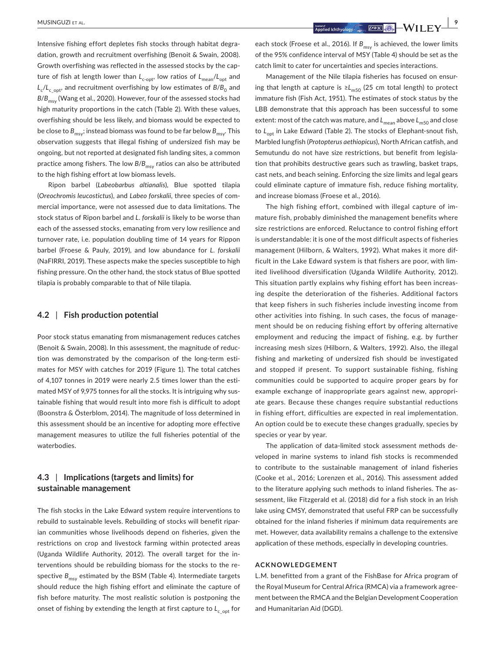Intensive fishing effort depletes fish stocks through habitat degradation, growth and recruitment overfishing (Benoit & Swain, 2008). Growth overfishing was reflected in the assessed stocks by the capture of fish at length lower than  $L_{c\text{-}opt}$ , low ratios of  $L_{mean}/L_{opt}$  and  $L_c/L_c$ <sub>c</sub>opt, and recruitment overfishing by low estimates of  $B/B_0$  and B/B<sub>msv</sub> (Wang et al., 2020). However, four of the assessed stocks had high maturity proportions in the catch (Table 2). With these values, overfishing should be less likely, and biomass would be expected to be close to  $B_{\text{msv}}$ ; instead biomass was found to be far below  $B_{\text{msv}}$ . This observation suggests that illegal fishing of undersized fish may be ongoing, but not reported at designated fish landing sites, a common practice among fishers. The low  $B/B_{\text{msv}}$  ratios can also be attributed to the high fishing effort at low biomass levels.

Ripon barbel (*Labeobarbus altianalis*), Blue spotted tilapia (*Oreochromis leucostictus*), and *Labeo forskalii*, three species of commercial importance, were not assessed due to data limitations. The stock status of Ripon barbel and *L*. *forskalii* is likely to be worse than each of the assessed stocks, emanating from very low resilience and turnover rate, i.e. population doubling time of 14 years for Rippon barbel (Froese & Pauly, 2019), and low abundance for *L. forskalii* (NaFIRRI, 2019). These aspects make the species susceptible to high fishing pressure. On the other hand, the stock status of Blue spotted tilapia is probably comparable to that of Nile tilapia.

#### **4.2** | **Fish production potential**

Poor stock status emanating from mismanagement reduces catches (Benoit & Swain, 2008). In this assessment, the magnitude of reduction was demonstrated by the comparison of the long-term estimates for MSY with catches for 2019 (Figure 1). The total catches of 4,107 tonnes in 2019 were nearly 2.5 times lower than the estimated MSY of 9,975 tonnes for all the stocks. It is intriguing why sustainable fishing that would result into more fish is difficult to adopt (Boonstra & Österblom, 2014). The magnitude of loss determined in this assessment should be an incentive for adopting more effective management measures to utilize the full fisheries potential of the waterbodies.

# **4.3** | **Implications (targets and limits) for sustainable management**

The fish stocks in the Lake Edward system require interventions to rebuild to sustainable levels. Rebuilding of stocks will benefit riparian communities whose livelihoods depend on fisheries, given the restrictions on crop and livestock farming within protected areas (Uganda Wildlife Authority, 2012). The overall target for the interventions should be rebuilding biomass for the stocks to the respective  $B_{\text{msy}}$  estimated by the BSM (Table 4). Intermediate targets should reduce the high fishing effort and eliminate the capture of fish before maturity. The most realistic solution is postponing the onset of fishing by extending the length at first capture to L<sub>copt</sub> for

 **|** MUSINGUZI et al. **9**

each stock (Froese et al., 2016). If  $B_{\text{msv}}$  is achieved, the lower limits of the 95% confidence interval of MSY (Table 4) should be set as the catch limit to cater for uncertainties and species interactions.

Management of the Nile tilapia fisheries has focused on ensuring that length at capture is ≥ $L_{m50}$  (25 cm total length) to protect immature fish (Fish Act, 1951). The estimates of stock status by the LBB demonstrate that this approach has been successful to some extent: most of the catch was mature, and  $L_{\text{mean}}$  above  $L_{\text{m50}}$  and close to L<sub>opt</sub> in Lake Edward (Table 2). The stocks of Elephant-snout fish, Marbled lungfish (*Protopterus aethiopicus*), North African catfish, and Semutundu do not have size restrictions, but benefit from legislation that prohibits destructive gears such as trawling, basket traps, cast nets, and beach seining. Enforcing the size limits and legal gears could eliminate capture of immature fish, reduce fishing mortality, and increase biomass (Froese et al., 2016).

The high fishing effort, combined with illegal capture of immature fish, probably diminished the management benefits where size restrictions are enforced. Reluctance to control fishing effort is understandable: it is one of the most difficult aspects of fisheries management (Hilborn, & Walters, 1992). What makes it more difficult in the Lake Edward system is that fishers are poor, with limited livelihood diversification (Uganda Wildlife Authority, 2012). This situation partly explains why fishing effort has been increasing despite the deterioration of the fisheries. Additional factors that keep fishers in such fisheries include investing income from other activities into fishing. In such cases, the focus of management should be on reducing fishing effort by offering alternative employment and reducing the impact of fishing, e.g. by further increasing mesh sizes (Hilborn, & Walters, 1992). Also, the illegal fishing and marketing of undersized fish should be investigated and stopped if present. To support sustainable fishing, fishing communities could be supported to acquire proper gears by for example exchange of inappropriate gears against new, appropriate gears. Because these changes require substantial reductions in fishing effort, difficulties are expected in real implementation. An option could be to execute these changes gradually, species by species or year by year.

The application of data-limited stock assessment methods developed in marine systems to inland fish stocks is recommended to contribute to the sustainable management of inland fisheries (Cooke et al., 2016; Lorenzen et al., 2016). This assessment added to the literature applying such methods to inland fisheries. The assessment, like Fitzgerald et al. (2018) did for a fish stock in an Irish lake using CMSY, demonstrated that useful FRP can be successfully obtained for the inland fisheries if minimum data requirements are met. However, data availability remains a challenge to the extensive application of these methods, especially in developing countries.

#### **ACKNOWLEDGEMENT**

L.M. benefitted from a grant of the FishBase for Africa program of the Royal Museum for Central Africa (RMCA) via a framework agreement between the RMCA and the Belgian Development Cooperation and Humanitarian Aid (DGD).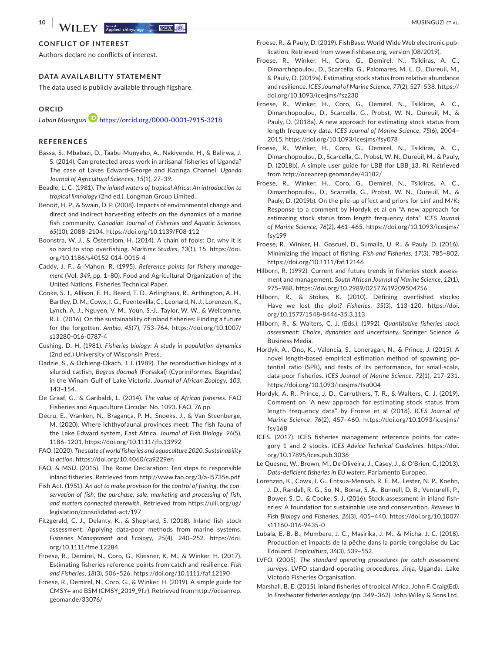#### **CONFLICT OF INTEREST**

Authors declare no conflicts of interest.

#### **DATA AVAILABILITY STATEMENT**

The data used is publicly available through figshare.

## **ORCID**

*Laban Musinguzi* <https://orcid.org/0000-0001-7915-3218>

### **REFERENCES**

- Bassa, S., Mbabazi, D., Taabu-Munyaho, A., Nakiyende, H., & Balirwa, J. S. (2014). Can protected areas work in artisanal fisheries of Uganda? The case of Lakes Edward-George and Kazinga Channel. *Uganda Journal of Agricultural Sciences*, *15*(1), 27–39.
- Beadle, L. C. (1981). *The inland waters of tropical Africa: An introduction to tropical limnology* (2nd ed.). Longman Group Limited.
- Benoit, H. P., & Swain, D. P. (2008). Impacts of environmental change and direct and indirect harvesting effects on the dynamics of a marine fish community. *Canadian Journal of Fisheries and Aquatic Sciences*, *65*(10), 2088–2104.<https://doi.org/10.1139/F08-112>
- Boonstra, W. J., & Österblom, H. (2014). A chain of fools: Or, why it is so hard to stop overfishing. *Maritime Studies*, *13*(1), 15. [https://doi.](https://doi.org/10.1186/s40152-014-0015-4) [org/10.1186/s40152-014-0015-4](https://doi.org/10.1186/s40152-014-0015-4)
- Caddy, J. F., & Mahon, R. (1995). *Reference points for fishery management* (Vol. *349*, pp. 1–80). Food and Agricultural Organization of the United Nations. Fisheries Technical Paper.
- Cooke, S. J., Allison, E. H., Beard, T. D., Arlinghaus, R., Arthington, A. H., Bartley, D. M., Cowx, I. G., Fuentevilla, C., Leonard, N. J., Lorenzen, K., Lynch, A. J., Nguyen, V. M., Youn, S.-J., Taylor, W. W., & Welcomme, R. L. (2016). On the sustainability of inland fisheries: Finding a future for the forgotten. *Ambio*, *45*(7), 753–764. [https://doi.org/10.1007/](https://doi.org/10.1007/s13280-016-0787-4) [s13280-016-0787-4](https://doi.org/10.1007/s13280-016-0787-4)
- Cushing, D. H. (1981). *Fisheries biology: A study in population dynamics* (2nd ed.) University of Wisconsin Press.
- Dadzie, S., & Ochieng-Okach, J. I. (1989). The reproductive biology of a siluroid catfish, *Bagrus docmak* (Forsskal) (Cypriniformes, Bagridae) in the Winam Gulf of Lake Victoria. *Journal of African Zoology*, *103*, 143–154.
- De Graaf, G., & Garibaldi, L. (2014). *The value of African fisheries*. FAO Fisheries and Aquaculture Circular. No. 1093. FAO, 76 pp.
- Decru, E., Vranken, N., Bragança, P. H., Snoeks, J., & Van Steenberge, M. (2020). Where ichthyofaunal provinces meet: The fish fauna of the Lake Edward system, East Africa. *Journal of Fish Biology*, *96*(5), 1186–1201. <https://doi.org/10.1111/jfb.13992>
- FAO. (2020). *The state of world fisheries and aquaculture 2020. Sustainability in action*. <https://doi.org/10.4060/ca9229en>
- FAO, & MSU. (2015). The Rome Declaration: Ten steps to responsible inland fisheries. Retrieved from<http://www.fao.org/3/a-i5735e.pdf>
- Fish Act. (1951). *An act to make provision for the control of fishing, the conservation of fish, the purchase, sale, marketing and processing of fish, and matters connected therewith*. Retrieved from [https://ulii.org/ug/](https://ulii.org/ug/legislation/consolidated-act/197) [legislation/consolidated-act/197](https://ulii.org/ug/legislation/consolidated-act/197)
- Fitzgerald, C. J., Delanty, K., & Shephard, S. (2018). Inland fish stock assessment: Applying data-poor methods from marine systems. *Fisheries Management and Ecology*, *25*(4), 240–252. [https://doi.](https://doi.org/10.1111/fme.12284) [org/10.1111/fme.12284](https://doi.org/10.1111/fme.12284)
- Froese, R., Demirel, N., Coro, G., Kleisner, K. M., & Winker, H. (2017). Estimating fisheries reference points from catch and resilience. *Fish and Fisheries*, *18*(3), 506–526.<https://doi.org/10.1111/faf.12190>
- Froese, R., Demirel, N., Coro, G., & Winker, H. (2019). A simple guide for CMSY+ and BSM (CMSY\_2019\_9f.r). Retrieved from [http://oceanrep.](http://oceanrep.geomar.de/33076/) [geomar.de/33076/](http://oceanrep.geomar.de/33076/)
- Froese, R., & Pauly, D. (2019). FishBase. World Wide Web electronic publication. Retrieved from [www.fishbase.org,](http://www.fishbase.org) version (08/2019).
- Froese, R., Winker, H., Coro, G., Demirel, N., Tsikliras, A. C., Dimarchopoulou, D., Scarcella, G., Palomares, M. L. D., Dureuil, M., & Pauly, D. (2019a). Estimating stock status from relative abundance and resilience. *ICES Journal of Marine Science*, *77*(2), 527–538. [https://](https://doi.org/10.1093/icesjms/fsz230) [doi.org/10.1093/icesjms/fsz230](https://doi.org/10.1093/icesjms/fsz230)
- Froese, R., Winker, H., Coro, G., Demirel, N., Tsikliras, A. C., Dimarchopoulou, D., Scarcella, G., Probst, W. N., Dureuil, M., & Pauly, D. (2018a). A new approach for estimating stock status from length frequency data. *ICES Journal of Marine Science*, *75*(6), 2004– 2015. <https://doi.org/10.1093/icesjms/fsy078>
- Froese, R., Winker, H., Coro, G., Demirel, N., Tsikliras, A. C., Dimarchopoulou, D., Scarcella, G., Probst, W. N., Dureuil, M., & Pauly, D. (2018b). A simple user guide for LBB (for LBB\_13. R). Retrieved from <http://oceanrep.geomar.de/43182/>
- Froese, R., Winker, H., Coro, G., Demirel, N., Tsikliras, A. C., Dimarchopoulou, D., Scarcella, G., Probst, W. N., Dureuil, M., & Pauly, D. (2019b). On the pile-up effect and priors for Linf and M/K: Response to a comment by Hordyk et al on "A new approach for estimating stock status from length frequency data". *ICES Journal of Marine Science*, *76*(2), 461–465. [https://doi.org/10.1093/icesjms/](https://doi.org/10.1093/icesjms/fsy199) [fsy199](https://doi.org/10.1093/icesjms/fsy199)
- Froese, R., Winker, H., Gascuel, D., Sumaila, U. R., & Pauly, D. (2016). Minimizing the impact of fishing. *Fish and Fisheries*, *17*(3), 785–802. <https://doi.org/10.1111/faf.12146>
- Hilborn, R. (1992). Current and future trends in fisheries stock assessment and management. *South African Journal of Marine Science*, *12*(1), 975–988. <https://doi.org/10.2989/02577619209504756>
- Hilborn, R., & Stokes, K. (2010). Defining overfished stocks: Have we lost the plot? *Fisheries*, *35*(3), 113–120. [https://doi.](https://doi.org/10.1577/1548-8446-35.3.113) [org/10.1577/1548-8446-35.3.113](https://doi.org/10.1577/1548-8446-35.3.113)
- Hilborn, R., & Walters, C. J. (Eds.). (1992). *Quantitative fisheries stock assessment: Choice, dynamics and uncertainty*. Springer Science & Business Media.
- Hordyk, A., Ono, K., Valencia, S., Loneragan, N., & Prince, J. (2015). A novel length-based empirical estimation method of spawning potential ratio (SPR), and tests of its performance, for small-scale, data-poor fisheries. *ICES Journal of Marine Science*, *72*(1), 217–231. <https://doi.org/10.1093/icesjms/fsu004>
- Hordyk, A. R., Prince, J. D., Carruthers, T. R., & Walters, C. J. (2019). Comment on "A new approach for estimating stock status from length frequency data" by Froese et al (2018). *ICES Journal of Marine Science*, *76*(2), 457–460. [https://doi.org/10.1093/icesjms/](https://doi.org/10.1093/icesjms/fsy168) [fsy168](https://doi.org/10.1093/icesjms/fsy168)
- ICES. (2017). ICES fisheries management reference points for category 1 and 2 stocks. *ICES Advice Technical Guidelines*. [https://doi.](https://doi.org/10.17895/ices.pub.3036) [org/10.17895/ices.pub.3036](https://doi.org/10.17895/ices.pub.3036)
- Le Quesne, W., Brown, M., De Oliveira, J., Casey, J., & O'Brien, C. (2013). *Data-deficient fisheries in EU waters*. Parlamento Europeo.
- Lorenzen, K., Cowx, I. G., Entsua-Mensah, R. E. M., Lester, N. P., Koehn, J. D., Randall, R. G., So, N., Bonar, S. A., Bunnell, D. B., Venturelli, P., Bower, S. D., & Cooke, S. J. (2016). Stock assessment in inland fisheries: A foundation for sustainable use and conservation. *Reviews in Fish Biology and Fisheries*, *26*(3), 405–440. [https://doi.org/10.1007/](https://doi.org/10.1007/s11160-016-9435-0) [s11160-016-9435-0](https://doi.org/10.1007/s11160-016-9435-0)
- Lubala, E.-B.-B., Mumbere, J. C., Masirika, J. M., & Micha, J. C. (2018). Production et impacts de la pêche dans la partie congolaise du Lac Edouard. *Tropicultura*, *36*(3), 539–552.
- LVFO. (2005). *The standard operating procedures for catch assessment surveys*, LVFO standard operating procedures, Jinja, Uganda: .Lake Victoria Fisheries Organisation.
- Marshall, B. E. (2015). Inland fisheries of tropical Africa. John F. Craig(Ed). In *Freshwater fisheries ecology* (pp. 349–362). John Wiley & Sons Ltd.